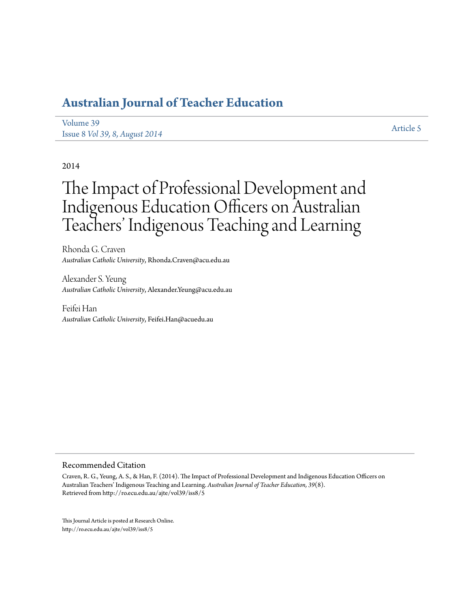# **[Australian Journal of Teacher Education](http://ro.ecu.edu.au/ajte)**

[Volume 39](http://ro.ecu.edu.au/ajte/vol39) Issue 8 *[Vol 39, 8, August 2014](http://ro.ecu.edu.au/ajte/vol39/iss8)* [Article 5](http://ro.ecu.edu.au/ajte/vol39/iss8/5)

# 2014

# The Impact of Professional Development and Indigenous Education Officers on Australian Teachers' Indigenous Teaching and Learning

Rhonda G. Craven *Australian Catholic University*, Rhonda.Craven@acu.edu.au

Alexander S. Yeung *Australian Catholic University*, Alexander.Yeung@acu.edu.au

Feifei Han *Australian Catholic University*, Feifei.Han@acuedu.au

#### Recommended Citation

Craven, R. G., Yeung, A. S., & Han, F. (2014). The Impact of Professional Development and Indigenous Education Officers on Australian Teachers' Indigenous Teaching and Learning. *Australian Journal of Teacher Education, 39*(8). Retrieved from http://ro.ecu.edu.au/ajte/vol39/iss8/5

This Journal Article is posted at Research Online. http://ro.ecu.edu.au/ajte/vol39/iss8/5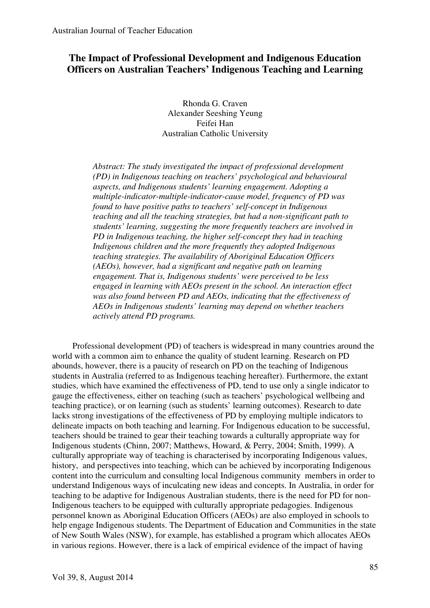# **The Impact of Professional Development and Indigenous Education Officers on Australian Teachers' Indigenous Teaching and Learning**

Rhonda G. Craven Alexander Seeshing Yeung Feifei Han Australian Catholic University

*Abstract: The study investigated the impact of professional development (PD) in Indigenous teaching on teachers' psychological and behavioural aspects, and Indigenous students' learning engagement. Adopting a multiple-indicator-multiple-indicator-cause model, frequency of PD was found to have positive paths to teachers' self-concept in Indigenous teaching and all the teaching strategies, but had a non-significant path to students' learning, suggesting the more frequently teachers are involved in PD in Indigenous teaching, the higher self-concept they had in teaching Indigenous children and the more frequently they adopted Indigenous teaching strategies. The availability of Aboriginal Education Officers (AEOs), however, had a significant and negative path on learning engagement. That is, Indigenous students' were perceived to be less engaged in learning with AEOs present in the school. An interaction effect was also found between PD and AEOs, indicating that the effectiveness of AEOs in Indigenous students' learning may depend on whether teachers actively attend PD programs.* 

Professional development (PD) of teachers is widespread in many countries around the world with a common aim to enhance the quality of student learning. Research on PD abounds, however, there is a paucity of research on PD on the teaching of Indigenous students in Australia (referred to as Indigenous teaching hereafter). Furthermore, the extant studies, which have examined the effectiveness of PD, tend to use only a single indicator to gauge the effectiveness, either on teaching (such as teachers' psychological wellbeing and teaching practice), or on learning (such as students' learning outcomes). Research to date lacks strong investigations of the effectiveness of PD by employing multiple indicators to delineate impacts on both teaching and learning. For Indigenous education to be successful, teachers should be trained to gear their teaching towards a culturally appropriate way for Indigenous students (Chinn, 2007; Matthews, Howard, & Perry, 2004; Smith, 1999). A culturally appropriate way of teaching is characterised by incorporating Indigenous values, history, and perspectives into teaching, which can be achieved by incorporating Indigenous content into the curriculum and consulting local Indigenous community members in order to understand Indigenous ways of inculcating new ideas and concepts. In Australia, in order for teaching to be adaptive for Indigenous Australian students, there is the need for PD for non-Indigenous teachers to be equipped with culturally appropriate pedagogies. Indigenous personnel known as Aboriginal Education Officers (AEOs) are also employed in schools to help engage Indigenous students. The Department of Education and Communities in the state of New South Wales (NSW), for example, has established a program which allocates AEOs in various regions. However, there is a lack of empirical evidence of the impact of having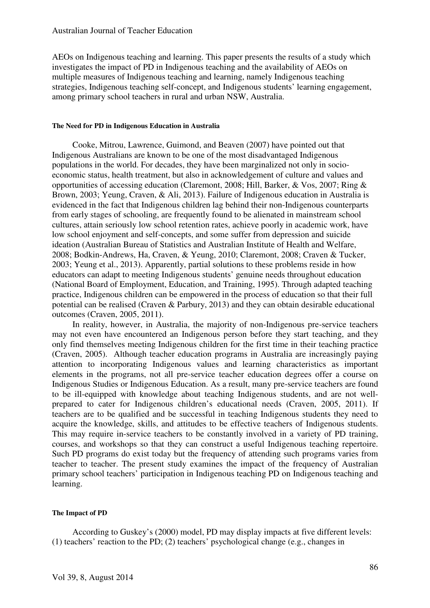AEOs on Indigenous teaching and learning. This paper presents the results of a study which investigates the impact of PD in Indigenous teaching and the availability of AEOs on multiple measures of Indigenous teaching and learning, namely Indigenous teaching strategies, Indigenous teaching self-concept, and Indigenous students' learning engagement, among primary school teachers in rural and urban NSW, Australia.

#### **The Need for PD in Indigenous Education in Australia**

Cooke, Mitrou, Lawrence, Guimond, and Beaven (2007) have pointed out that Indigenous Australians are known to be one of the most disadvantaged Indigenous populations in the world. For decades, they have been marginalized not only in socioeconomic status, health treatment, but also in acknowledgement of culture and values and opportunities of accessing education (Claremont, 2008; Hill, Barker, & Vos, 2007; Ring & Brown, 2003; Yeung, Craven, & Ali, 2013). Failure of Indigenous education in Australia is evidenced in the fact that Indigenous children lag behind their non-Indigenous counterparts from early stages of schooling, are frequently found to be alienated in mainstream school cultures, attain seriously low school retention rates, achieve poorly in academic work, have low school enjoyment and self-concepts, and some suffer from depression and suicide ideation (Australian Bureau of Statistics and Australian Institute of Health and Welfare, 2008; Bodkin-Andrews, Ha, Craven, & Yeung, 2010; Claremont, 2008; Craven & Tucker, 2003; Yeung et al., 2013). Apparently, partial solutions to these problems reside in how educators can adapt to meeting Indigenous students' genuine needs throughout education (National Board of Employment, Education, and Training, 1995). Through adapted teaching practice, Indigenous children can be empowered in the process of education so that their full potential can be realised (Craven & Parbury, 2013) and they can obtain desirable educational outcomes (Craven, 2005, 2011).

In reality, however, in Australia, the majority of non-Indigenous pre-service teachers may not even have encountered an Indigenous person before they start teaching, and they only find themselves meeting Indigenous children for the first time in their teaching practice (Craven, 2005). Although teacher education programs in Australia are increasingly paying attention to incorporating Indigenous values and learning characteristics as important elements in the programs, not all pre-service teacher education degrees offer a course on Indigenous Studies or Indigenous Education. As a result, many pre-service teachers are found to be ill-equipped with knowledge about teaching Indigenous students, and are not wellprepared to cater for Indigenous children's educational needs (Craven, 2005, 2011). If teachers are to be qualified and be successful in teaching Indigenous students they need to acquire the knowledge, skills, and attitudes to be effective teachers of Indigenous students. This may require in-service teachers to be constantly involved in a variety of PD training, courses, and workshops so that they can construct a useful Indigenous teaching repertoire. Such PD programs do exist today but the frequency of attending such programs varies from teacher to teacher. The present study examines the impact of the frequency of Australian primary school teachers' participation in Indigenous teaching PD on Indigenous teaching and learning.

# **The Impact of PD**

According to Guskey's (2000) model, PD may display impacts at five different levels: (1) teachers' reaction to the PD; (2) teachers' psychological change (e.g., changes in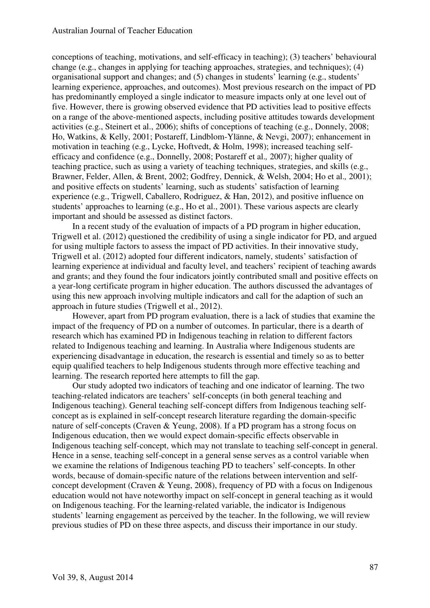conceptions of teaching, motivations, and self-efficacy in teaching); (3) teachers' behavioural change (e.g., changes in applying for teaching approaches, strategies, and techniques); (4) organisational support and changes; and (5) changes in students' learning (e.g., students' learning experience, approaches, and outcomes). Most previous research on the impact of PD has predominantly employed a single indicator to measure impacts only at one level out of five. However, there is growing observed evidence that PD activities lead to positive effects on a range of the above-mentioned aspects, including positive attitudes towards development activities (e.g., Steinert et al., 2006); shifts of conceptions of teaching (e.g., Donnely, 2008; Ho, Watkins, & Kelly, 2001; Postareff, Lindblom-Ylänne, & Nevgi, 2007); enhancement in motivation in teaching (e.g., Lycke, Hoftvedt, & Holm, 1998); increased teaching selfefficacy and confidence (e.g., Donnelly, 2008; Postareff et al.*,* 2007); higher quality of teaching practice, such as using a variety of teaching techniques, strategies, and skills (e.g., Brawner, Felder, Allen, & Brent, 2002; Godfrey, Dennick, & Welsh, 2004; Ho et al.*,* 2001); and positive effects on students' learning, such as students' satisfaction of learning experience (e.g., Trigwell, Caballero, Rodriguez, & Han, 2012), and positive influence on students' approaches to learning (e.g., Ho et al., 2001). These various aspects are clearly important and should be assessed as distinct factors.

In a recent study of the evaluation of impacts of a PD program in higher education, Trigwell et al. (2012) questioned the credibility of using a single indicator for PD, and argued for using multiple factors to assess the impact of PD activities. In their innovative study, Trigwell et al. (2012) adopted four different indicators, namely, students' satisfaction of learning experience at individual and faculty level, and teachers' recipient of teaching awards and grants; and they found the four indicators jointly contributed small and positive effects on a year-long certificate program in higher education. The authors discussed the advantages of using this new approach involving multiple indicators and call for the adaption of such an approach in future studies (Trigwell et al., 2012).

However, apart from PD program evaluation, there is a lack of studies that examine the impact of the frequency of PD on a number of outcomes. In particular, there is a dearth of research which has examined PD in Indigenous teaching in relation to different factors related to Indigenous teaching and learning. In Australia where Indigenous students are experiencing disadvantage in education, the research is essential and timely so as to better equip qualified teachers to help Indigenous students through more effective teaching and learning. The research reported here attempts to fill the gap.

Our study adopted two indicators of teaching and one indicator of learning. The two teaching-related indicators are teachers' self-concepts (in both general teaching and Indigenous teaching). General teaching self-concept differs from Indigenous teaching selfconcept as is explained in self-concept research literature regarding the domain-specific nature of self-concepts (Craven & Yeung, 2008). If a PD program has a strong focus on Indigenous education, then we would expect domain-specific effects observable in Indigenous teaching self-concept, which may not translate to teaching self-concept in general. Hence in a sense, teaching self-concept in a general sense serves as a control variable when we examine the relations of Indigenous teaching PD to teachers' self-concepts. In other words, because of domain-specific nature of the relations between intervention and selfconcept development (Craven & Yeung, 2008), frequency of PD with a focus on Indigenous education would not have noteworthy impact on self-concept in general teaching as it would on Indigenous teaching. For the learning-related variable, the indicator is Indigenous students' learning engagement as perceived by the teacher. In the following, we will review previous studies of PD on these three aspects, and discuss their importance in our study.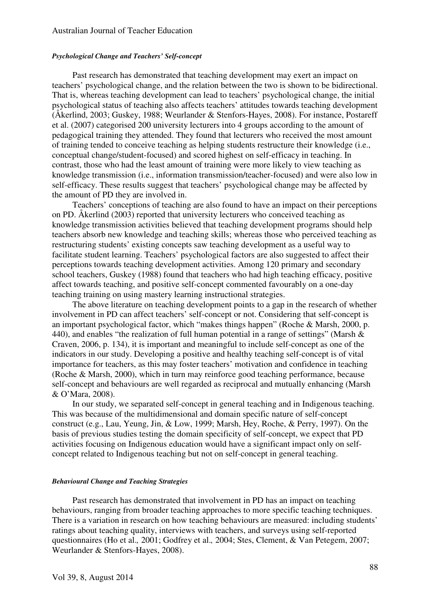# *Psychological Change and Teachers' Self-concept*

Past research has demonstrated that teaching development may exert an impact on teachers' psychological change, and the relation between the two is shown to be bidirectional. That is, whereas teaching development can lead to teachers' psychological change, the initial psychological status of teaching also affects teachers' attitudes towards teaching development (Åkerlind, 2003; Guskey, 1988; Weurlander & Stenfors-Hayes, 2008). For instance, Postareff et al. (2007) categorised 200 university lecturers into 4 groups according to the amount of pedagogical training they attended. They found that lecturers who received the most amount of training tended to conceive teaching as helping students restructure their knowledge (i.e., conceptual change/student-focused) and scored highest on self-efficacy in teaching. In contrast, those who had the least amount of training were more likely to view teaching as knowledge transmission (i.e., information transmission/teacher-focused) and were also low in self-efficacy. These results suggest that teachers' psychological change may be affected by the amount of PD they are involved in.

Teachers' conceptions of teaching are also found to have an impact on their perceptions on PD. Åkerlind (2003) reported that university lecturers who conceived teaching as knowledge transmission activities believed that teaching development programs should help teachers absorb new knowledge and teaching skills; whereas those who perceived teaching as restructuring students' existing concepts saw teaching development as a useful way to facilitate student learning. Teachers' psychological factors are also suggested to affect their perceptions towards teaching development activities. Among 120 primary and secondary school teachers, Guskey (1988) found that teachers who had high teaching efficacy, positive affect towards teaching, and positive self-concept commented favourably on a one-day teaching training on using mastery learning instructional strategies.

The above literature on teaching development points to a gap in the research of whether involvement in PD can affect teachers' self-concept or not. Considering that self-concept is an important psychological factor, which "makes things happen" (Roche & Marsh, 2000, p. 440), and enables "the realization of full human potential in a range of settings" (Marsh & Craven, 2006, p. 134), it is important and meaningful to include self-concept as one of the indicators in our study. Developing a positive and healthy teaching self-concept is of vital importance for teachers, as this may foster teachers' motivation and confidence in teaching (Roche & Marsh, 2000), which in turn may reinforce good teaching performance, because self-concept and behaviours are well regarded as reciprocal and mutually enhancing (Marsh & O'Mara, 2008).

In our study, we separated self-concept in general teaching and in Indigenous teaching. This was because of the multidimensional and domain specific nature of self-concept construct (e.g., Lau, Yeung, Jin, & Low, 1999; Marsh, Hey, Roche, & Perry, 1997). On the basis of previous studies testing the domain specificity of self-concept, we expect that PD activities focusing on Indigenous education would have a significant impact only on selfconcept related to Indigenous teaching but not on self-concept in general teaching.

#### *Behavioural Change and Teaching Strategies*

Past research has demonstrated that involvement in PD has an impact on teaching behaviours, ranging from broader teaching approaches to more specific teaching techniques. There is a variation in research on how teaching behaviours are measured: including students' ratings about teaching quality, interviews with teachers, and surveys using self-reported questionnaires (Ho et al.*,* 2001; Godfrey et al.*,* 2004; Stes, Clement, & Van Petegem, 2007; Weurlander & Stenfors-Hayes, 2008).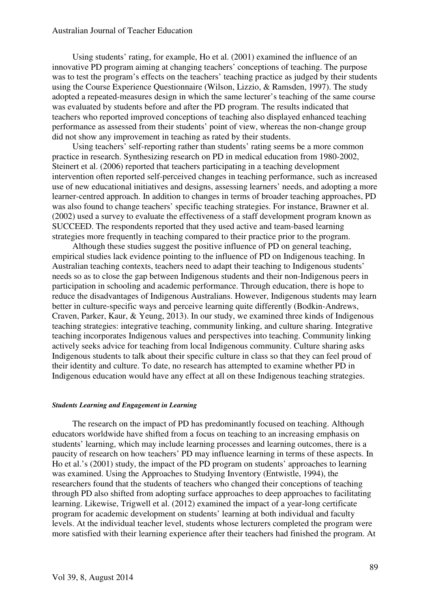Using students' rating, for example, Ho et al. (2001) examined the influence of an innovative PD program aiming at changing teachers' conceptions of teaching. The purpose was to test the program's effects on the teachers' teaching practice as judged by their students using the Course Experience Questionnaire (Wilson, Lizzio, & Ramsden, 1997). The study adopted a repeated-measures design in which the same lecturer's teaching of the same course was evaluated by students before and after the PD program. The results indicated that teachers who reported improved conceptions of teaching also displayed enhanced teaching performance as assessed from their students' point of view, whereas the non-change group did not show any improvement in teaching as rated by their students.

Using teachers' self-reporting rather than students' rating seems be a more common practice in research. Synthesizing research on PD in medical education from 1980-2002, Steinert et al. (2006) reported that teachers participating in a teaching development intervention often reported self-perceived changes in teaching performance, such as increased use of new educational initiatives and designs, assessing learners' needs, and adopting a more learner-centred approach. In addition to changes in terms of broader teaching approaches, PD was also found to change teachers' specific teaching strategies. For instance, Brawner et al. (2002) used a survey to evaluate the effectiveness of a staff development program known as SUCCEED. The respondents reported that they used active and team-based learning strategies more frequently in teaching compared to their practice prior to the program.

Although these studies suggest the positive influence of PD on general teaching, empirical studies lack evidence pointing to the influence of PD on Indigenous teaching. In Australian teaching contexts, teachers need to adapt their teaching to Indigenous students' needs so as to close the gap between Indigenous students and their non-Indigenous peers in participation in schooling and academic performance. Through education, there is hope to reduce the disadvantages of Indigenous Australians. However, Indigenous students may learn better in culture-specific ways and perceive learning quite differently (Bodkin-Andrews, Craven, Parker, Kaur, & Yeung, 2013). In our study, we examined three kinds of Indigenous teaching strategies: integrative teaching, community linking, and culture sharing. Integrative teaching incorporates Indigenous values and perspectives into teaching. Community linking actively seeks advice for teaching from local Indigenous community. Culture sharing asks Indigenous students to talk about their specific culture in class so that they can feel proud of their identity and culture. To date, no research has attempted to examine whether PD in Indigenous education would have any effect at all on these Indigenous teaching strategies.

# *Students Learning and Engagement in Learning*

The research on the impact of PD has predominantly focused on teaching. Although educators worldwide have shifted from a focus on teaching to an increasing emphasis on students' learning, which may include learning processes and learning outcomes, there is a paucity of research on how teachers' PD may influence learning in terms of these aspects. In Ho et al.'s (2001) study, the impact of the PD program on students' approaches to learning was examined. Using the Approaches to Studying Inventory (Entwistle, 1994), the researchers found that the students of teachers who changed their conceptions of teaching through PD also shifted from adopting surface approaches to deep approaches to facilitating learning. Likewise, Trigwell et al. (2012) examined the impact of a year-long certificate program for academic development on students' learning at both individual and faculty levels. At the individual teacher level, students whose lecturers completed the program were more satisfied with their learning experience after their teachers had finished the program. At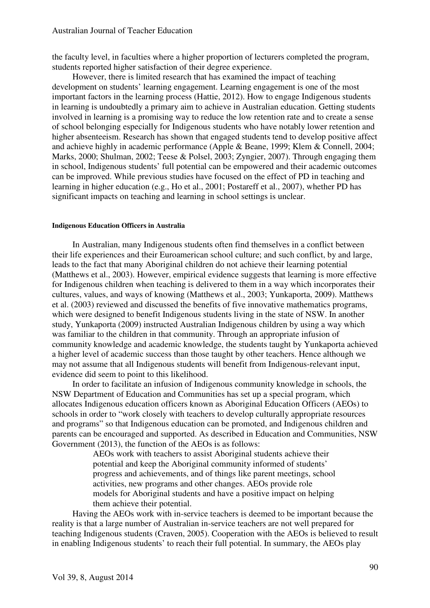the faculty level, in faculties where a higher proportion of lecturers completed the program, students reported higher satisfaction of their degree experience.

However, there is limited research that has examined the impact of teaching development on students' learning engagement. Learning engagement is one of the most important factors in the learning process (Hattie, 2012). How to engage Indigenous students in learning is undoubtedly a primary aim to achieve in Australian education. Getting students involved in learning is a promising way to reduce the low retention rate and to create a sense of school belonging especially for Indigenous students who have notably lower retention and higher absenteeism. Research has shown that engaged students tend to develop positive affect and achieve highly in academic performance (Apple & Beane, 1999; Klem & Connell, 2004; Marks, 2000; Shulman, 2002; Teese & Polsel, 2003; Zyngier, 2007). Through engaging them in school, Indigenous students' full potential can be empowered and their academic outcomes can be improved. While previous studies have focused on the effect of PD in teaching and learning in higher education (e.g., Ho et al., 2001; Postareff et al., 2007), whether PD has significant impacts on teaching and learning in school settings is unclear.

# **Indigenous Education Officers in Australia**

In Australian, many Indigenous students often find themselves in a conflict between their life experiences and their Euroamerican school culture; and such conflict, by and large, leads to the fact that many Aboriginal children do not achieve their learning potential (Matthews et al., 2003). However, empirical evidence suggests that learning is more effective for Indigenous children when teaching is delivered to them in a way which incorporates their cultures, values, and ways of knowing (Matthews et al., 2003; Yunkaporta, 2009). Matthews et al. (2003) reviewed and discussed the benefits of five innovative mathematics programs, which were designed to benefit Indigenous students living in the state of NSW. In another study, Yunkaporta (2009) instructed Australian Indigenous children by using a way which was familiar to the children in that community. Through an appropriate infusion of community knowledge and academic knowledge, the students taught by Yunkaporta achieved a higher level of academic success than those taught by other teachers. Hence although we may not assume that all Indigenous students will benefit from Indigenous-relevant input, evidence did seem to point to this likelihood.

 In order to facilitate an infusion of Indigenous community knowledge in schools, the NSW Department of Education and Communities has set up a special program, which allocates Indigenous education officers known as Aboriginal Education Officers (AEOs) to schools in order to "work closely with teachers to develop culturally appropriate resources and programs" so that Indigenous education can be promoted, and Indigenous children and parents can be encouraged and supported. As described in Education and Communities, NSW Government (2013), the function of the AEOs is as follows:

> AEOs work with teachers to assist Aboriginal students achieve their potential and keep the Aboriginal community informed of students' progress and achievements, and of things like parent meetings, school activities, new programs and other changes. AEOs provide role models for Aboriginal students and have a positive impact on helping them achieve their potential.

Having the AEOs work with in-service teachers is deemed to be important because the reality is that a large number of Australian in-service teachers are not well prepared for teaching Indigenous students (Craven, 2005). Cooperation with the AEOs is believed to result in enabling Indigenous students' to reach their full potential. In summary, the AEOs play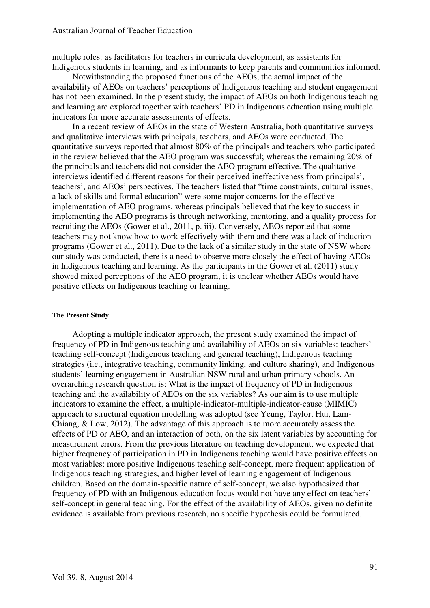multiple roles: as facilitators for teachers in curricula development, as assistants for Indigenous students in learning, and as informants to keep parents and communities informed.

Notwithstanding the proposed functions of the AEOs, the actual impact of the availability of AEOs on teachers' perceptions of Indigenous teaching and student engagement has not been examined. In the present study, the impact of AEOs on both Indigenous teaching and learning are explored together with teachers' PD in Indigenous education using multiple indicators for more accurate assessments of effects.

In a recent review of AEOs in the state of Western Australia, both quantitative surveys and qualitative interviews with principals, teachers, and AEOs were conducted. The quantitative surveys reported that almost 80% of the principals and teachers who participated in the review believed that the AEO program was successful; whereas the remaining 20% of the principals and teachers did not consider the AEO program effective. The qualitative interviews identified different reasons for their perceived ineffectiveness from principals', teachers', and AEOs' perspectives. The teachers listed that "time constraints, cultural issues, a lack of skills and formal education" were some major concerns for the effective implementation of AEO programs, whereas principals believed that the key to success in implementing the AEO programs is through networking, mentoring, and a quality process for recruiting the AEOs (Gower et al., 2011, p. iii). Conversely, AEOs reported that some teachers may not know how to work effectively with them and there was a lack of induction programs (Gower et al., 2011). Due to the lack of a similar study in the state of NSW where our study was conducted, there is a need to observe more closely the effect of having AEOs in Indigenous teaching and learning. As the participants in the Gower et al. (2011) study showed mixed perceptions of the AEO program, it is unclear whether AEOs would have positive effects on Indigenous teaching or learning.

# **The Present Study**

Adopting a multiple indicator approach, the present study examined the impact of frequency of PD in Indigenous teaching and availability of AEOs on six variables: teachers' teaching self-concept (Indigenous teaching and general teaching), Indigenous teaching strategies (i.e., integrative teaching, community linking, and culture sharing), and Indigenous students' learning engagement in Australian NSW rural and urban primary schools. An overarching research question is: What is the impact of frequency of PD in Indigenous teaching and the availability of AEOs on the six variables? As our aim is to use multiple indicators to examine the effect, a multiple-indicator-multiple-indicator-cause (MIMIC) approach to structural equation modelling was adopted (see Yeung, Taylor, Hui, Lam-Chiang, & Low, 2012). The advantage of this approach is to more accurately assess the effects of PD or AEO, and an interaction of both, on the six latent variables by accounting for measurement errors. From the previous literature on teaching development, we expected that higher frequency of participation in PD in Indigenous teaching would have positive effects on most variables: more positive Indigenous teaching self-concept, more frequent application of Indigenous teaching strategies, and higher level of learning engagement of Indigenous children. Based on the domain-specific nature of self-concept, we also hypothesized that frequency of PD with an Indigenous education focus would not have any effect on teachers' self-concept in general teaching. For the effect of the availability of AEOs, given no definite evidence is available from previous research, no specific hypothesis could be formulated.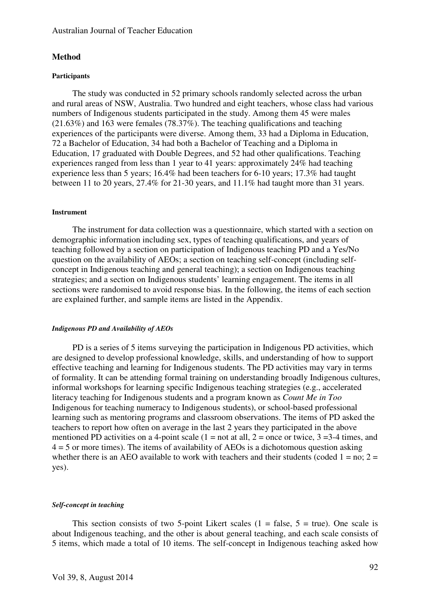# **Method**

# **Participants**

The study was conducted in 52 primary schools randomly selected across the urban and rural areas of NSW, Australia. Two hundred and eight teachers, whose class had various numbers of Indigenous students participated in the study. Among them 45 were males (21.63%) and 163 were females (78.37%). The teaching qualifications and teaching experiences of the participants were diverse. Among them, 33 had a Diploma in Education, 72 a Bachelor of Education, 34 had both a Bachelor of Teaching and a Diploma in Education, 17 graduated with Double Degrees, and 52 had other qualifications. Teaching experiences ranged from less than 1 year to 41 years: approximately 24% had teaching experience less than 5 years; 16.4% had been teachers for 6-10 years; 17.3% had taught between 11 to 20 years, 27.4% for 21-30 years, and 11.1% had taught more than 31 years.

## **Instrument**

The instrument for data collection was a questionnaire, which started with a section on demographic information including sex, types of teaching qualifications, and years of teaching followed by a section on participation of Indigenous teaching PD and a Yes/No question on the availability of AEOs; a section on teaching self-concept (including selfconcept in Indigenous teaching and general teaching); a section on Indigenous teaching strategies; and a section on Indigenous students' learning engagement. The items in all sections were randomised to avoid response bias. In the following, the items of each section are explained further, and sample items are listed in the Appendix.

# *Indigenous PD and Availability of AEOs*

PD is a series of 5 items surveying the participation in Indigenous PD activities, which are designed to develop professional knowledge, skills, and understanding of how to support effective teaching and learning for Indigenous students. The PD activities may vary in terms of formality. It can be attending formal training on understanding broadly Indigenous cultures, informal workshops for learning specific Indigenous teaching strategies (e.g., accelerated literacy teaching for Indigenous students and a program known as *Count Me in Too* Indigenous for teaching numeracy to Indigenous students), or school-based professional learning such as mentoring programs and classroom observations. The items of PD asked the teachers to report how often on average in the last 2 years they participated in the above mentioned PD activities on a 4-point scale  $(1 = not at all, 2 = once or twice, 3 = 3-4 times, and$  $4 = 5$  or more times). The items of availability of AEOs is a dichotomous question asking whether there is an AEO available to work with teachers and their students (coded  $1 = no$ ;  $2 =$ yes).

# *Self-concept in teaching*

This section consists of two 5-point Likert scales  $(1 = false, 5 = true)$ . One scale is about Indigenous teaching, and the other is about general teaching, and each scale consists of 5 items, which made a total of 10 items. The self-concept in Indigenous teaching asked how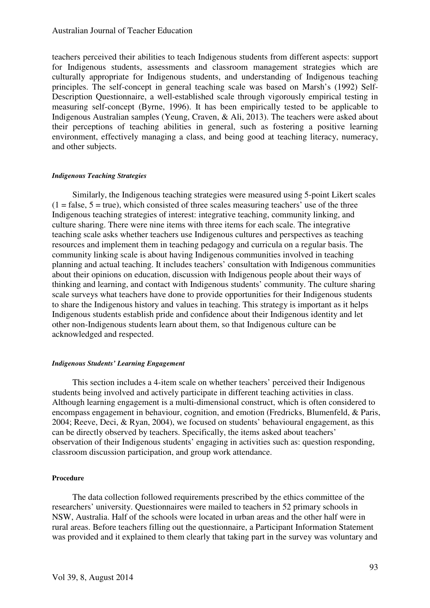# Australian Journal of Teacher Education

teachers perceived their abilities to teach Indigenous students from different aspects: support for Indigenous students, assessments and classroom management strategies which are culturally appropriate for Indigenous students, and understanding of Indigenous teaching principles. The self-concept in general teaching scale was based on Marsh's (1992) Self-Description Questionnaire, a well-established scale through vigorously empirical testing in measuring self-concept (Byrne, 1996). It has been empirically tested to be applicable to Indigenous Australian samples (Yeung, Craven, & Ali, 2013). The teachers were asked about their perceptions of teaching abilities in general, such as fostering a positive learning environment, effectively managing a class, and being good at teaching literacy, numeracy, and other subjects.

#### *Indigenous Teaching Strategies*

Similarly, the Indigenous teaching strategies were measured using 5-point Likert scales  $(1 = false, 5 = true)$ , which consisted of three scales measuring teachers' use of the three Indigenous teaching strategies of interest: integrative teaching, community linking, and culture sharing. There were nine items with three items for each scale. The integrative teaching scale asks whether teachers use Indigenous cultures and perspectives as teaching resources and implement them in teaching pedagogy and curricula on a regular basis. The community linking scale is about having Indigenous communities involved in teaching planning and actual teaching. It includes teachers' consultation with Indigenous communities about their opinions on education, discussion with Indigenous people about their ways of thinking and learning, and contact with Indigenous students' community. The culture sharing scale surveys what teachers have done to provide opportunities for their Indigenous students to share the Indigenous history and values in teaching. This strategy is important as it helps Indigenous students establish pride and confidence about their Indigenous identity and let other non-Indigenous students learn about them, so that Indigenous culture can be acknowledged and respected.

#### *Indigenous Students' Learning Engagement*

This section includes a 4-item scale on whether teachers' perceived their Indigenous students being involved and actively participate in different teaching activities in class. Although learning engagement is a multi-dimensional construct, which is often considered to encompass engagement in behaviour, cognition, and emotion (Fredricks, Blumenfeld, & Paris, 2004; Reeve, Deci, & Ryan, 2004), we focused on students' behavioural engagement, as this can be directly observed by teachers. Specifically, the items asked about teachers' observation of their Indigenous students' engaging in activities such as: question responding, classroom discussion participation, and group work attendance.

# **Procedure**

The data collection followed requirements prescribed by the ethics committee of the researchers' university. Questionnaires were mailed to teachers in 52 primary schools in NSW, Australia. Half of the schools were located in urban areas and the other half were in rural areas. Before teachers filling out the questionnaire, a Participant Information Statement was provided and it explained to them clearly that taking part in the survey was voluntary and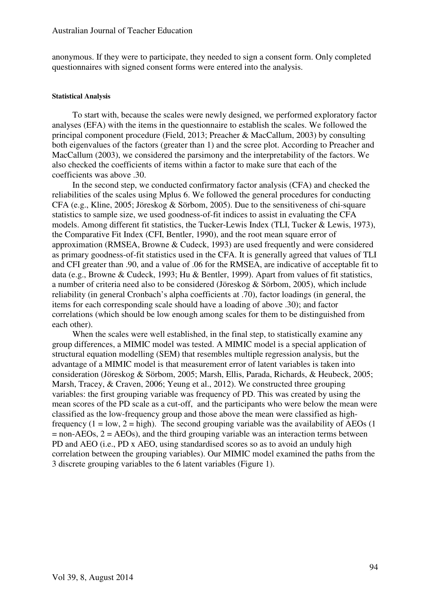anonymous. If they were to participate, they needed to sign a consent form. Only completed questionnaires with signed consent forms were entered into the analysis.

#### **Statistical Analysis**

To start with, because the scales were newly designed, we performed exploratory factor analyses (EFA) with the items in the questionnaire to establish the scales. We followed the principal component procedure (Field, 2013; Preacher & MacCallum, 2003) by consulting both eigenvalues of the factors (greater than 1) and the scree plot. According to Preacher and MacCallum (2003), we considered the parsimony and the interpretability of the factors. We also checked the coefficients of items within a factor to make sure that each of the coefficients was above .30.

In the second step, we conducted confirmatory factor analysis (CFA) and checked the reliabilities of the scales using Mplus 6. We followed the general procedures for conducting CFA (e.g., Kline, 2005; Jöreskog & Sörbom, 2005). Due to the sensitiveness of chi-square statistics to sample size, we used goodness-of-fit indices to assist in evaluating the CFA models. Among different fit statistics, the Tucker-Lewis Index (TLI, Tucker & Lewis, 1973), the Comparative Fit Index (CFI, Bentler, 1990), and the root mean square error of approximation (RMSEA, Browne & Cudeck, 1993) are used frequently and were considered as primary goodness-of-fit statistics used in the CFA. It is generally agreed that values of TLI and CFI greater than .90, and a value of .06 for the RMSEA, are indicative of acceptable fit to data (e.g., Browne & Cudeck, 1993; Hu & Bentler, 1999). Apart from values of fit statistics, a number of criteria need also to be considered (Jöreskog & Sörbom, 2005), which include reliability (in general Cronbach's alpha coefficients at .70), factor loadings (in general, the items for each corresponding scale should have a loading of above .30); and factor correlations (which should be low enough among scales for them to be distinguished from each other).

When the scales were well established, in the final step, to statistically examine any group differences, a MIMIC model was tested. A MIMIC model is a special application of structural equation modelling (SEM) that resembles multiple regression analysis, but the advantage of a MIMIC model is that measurement error of latent variables is taken into consideration (Jöreskog & Sörbom, 2005; Marsh, Ellis, Parada, Richards, & Heubeck, 2005; Marsh, Tracey, & Craven, 2006; Yeung et al., 2012). We constructed three grouping variables: the first grouping variable was frequency of PD. This was created by using the mean scores of the PD scale as a cut-off, and the participants who were below the mean were classified as the low-frequency group and those above the mean were classified as highfrequency  $(1 = low, 2 = high)$ . The second grouping variable was the availability of AEOs  $(1$  $=$  non-AEOs,  $2 =$  AEOs), and the third grouping variable was an interaction terms between PD and AEO (i.e., PD x AEO, using standardised scores so as to avoid an unduly high correlation between the grouping variables). Our MIMIC model examined the paths from the 3 discrete grouping variables to the 6 latent variables (Figure 1).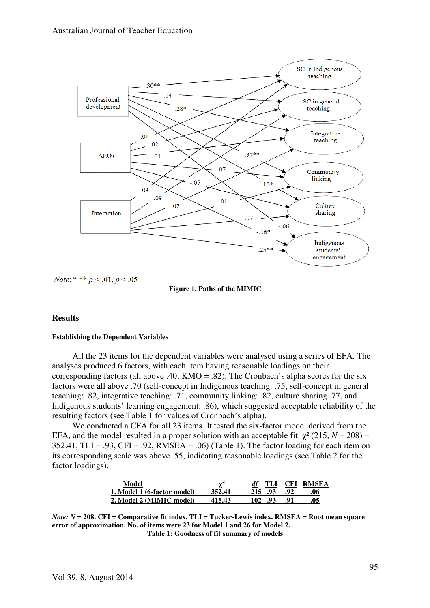

*Note*: \* \* \*  $p < .01, p < .05$ 



# **Results**

# **Establishing the Dependent Variables**

All the 23 items for the dependent variables were analysed using a series of EFA. The analyses produced 6 factors, with each item having reasonable loadings on their corresponding factors (all above .40;  $KMO = .82$ ). The Cronbach's alpha scores for the six factors were all above .70 (self-concept in Indigenous teaching: .75, self-concept in general teaching: .82, integrative teaching: .71, community linking: .82, culture sharing .77, and Indigenous students' learning engagement: .86), which suggested acceptable reliability of the resulting factors (see Table 1 for values of Cronbach's alpha).

We conducted a CFA for all 23 items. It tested the six-factor model derived from the EFA, and the model resulted in a proper solution with an acceptable fit:  $\chi^2$  (215, *N* = 208) =  $352.41$ , TLI = .93, CFI = .92, RMSEA = .06) (Table 1). The factor loading for each item on its corresponding scale was above .55, indicating reasonable loadings (see Table 2 for the factor loadings).

| Model                       |        | TLI         |     | <b>CFI RMSEA</b> |
|-----------------------------|--------|-------------|-----|------------------|
| 1. Model 1 (6-factor model) | 352.41 | 215<br>.93  | -92 |                  |
| 2. Model 2 (MIMIC model)    | 415.43 | 102.<br>.93 | -91 |                  |

*Note: N* **= 208. CFI = Comparative fit index. TLI = Tucker-Lewis index. RMSEA = Root mean square error of approximation. No. of items were 23 for Model 1 and 26 for Model 2. Table 1: Goodness of fit summary of models** 

Vol 39, 8, August 2014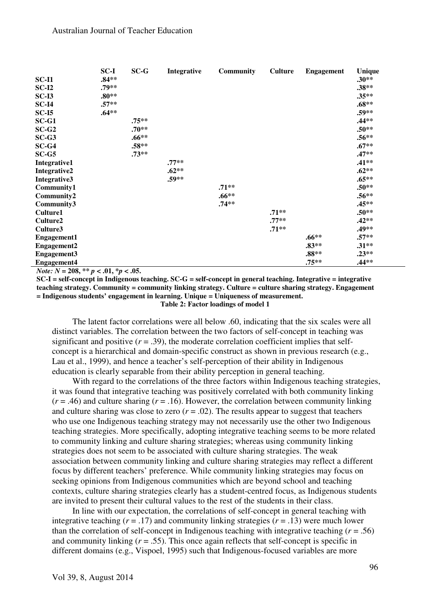|                    | SC-I    | $SC-G$  | Integrative | <b>Community</b> | <b>Culture</b> | <b>Engagement</b> | <b>Unique</b> |
|--------------------|---------|---------|-------------|------------------|----------------|-------------------|---------------|
| $SC-I1$            | $.84**$ |         |             |                  |                |                   | $.30**$       |
| $SC-I2$            | .79**   |         |             |                  |                |                   | $.38**$       |
| $SC-I3$            | $.80**$ |         |             |                  |                |                   | $.35**$       |
| $SC-I4$            | $.57**$ |         |             |                  |                |                   | $.68**$       |
| $SC-I5$            | $.64**$ |         |             |                  |                |                   | $.59**$       |
| $SC-G1$            |         | $.75**$ |             |                  |                |                   | .44**         |
| $SC-G2$            |         | $.70**$ |             |                  |                |                   | $.50**$       |
| $SC-G3$            |         | $.66**$ |             |                  |                |                   | $.56**$       |
| $SC-G4$            |         | $.58**$ |             |                  |                |                   | $.67**$       |
| $SC-G5$            |         | $.73**$ |             |                  |                |                   | $.47**$       |
| Integrative1       |         |         | $.77**$     |                  |                |                   | $.41**$       |
| Integrative2       |         |         | $.62**$     |                  |                |                   | $.62**$       |
| Integrative3       |         |         | $.59**$     |                  |                |                   | $.65***$      |
| Community1         |         |         |             | $.71**$          |                |                   | $.50**$       |
| Community2         |         |         |             | $.66**$          |                |                   | $.56**$       |
| Community3         |         |         |             | $.74**$          |                |                   | $.45**$       |
| Culture1           |         |         |             |                  | $.71**$        |                   | $.50**$       |
| Culture2           |         |         |             |                  | $.77**$        |                   | $.42**$       |
| Culture3           |         |         |             |                  | $.71**$        |                   | .49**         |
| <b>Engagement1</b> |         |         |             |                  |                | $.66**$           | $.57**$       |
| <b>Engagement2</b> |         |         |             |                  |                | $.83**$           | $.31**$       |
| Engagement3        |         |         |             |                  |                | $.88**$           | $.23**$       |
| <b>Engagement4</b> |         |         |             |                  |                | $.75**$           | $.44**$       |

*Note:*  $N = 208$ ,  $** p < .01$ ,  $* p < .05$ .

**SC-I = self-concept in Indigenous teaching. SC-G = self-concept in general teaching. Integrative = integrative teaching strategy. Community = community linking strategy. Culture = culture sharing strategy. Engagement = Indigenous students' engagement in learning. Unique = Uniqueness of measurement. Table 2: Factor loadings of model 1** 

The latent factor correlations were all below .60, indicating that the six scales were all distinct variables. The correlation between the two factors of self-concept in teaching was significant and positive  $(r = .39)$ , the moderate correlation coefficient implies that selfconcept is a hierarchical and domain-specific construct as shown in previous research (e.g., Lau et al., 1999), and hence a teacher's self-perception of their ability in Indigenous education is clearly separable from their ability perception in general teaching.

With regard to the correlations of the three factors within Indigenous teaching strategies, it was found that integrative teaching was positively correlated with both community linking  $(r = .46)$  and culture sharing  $(r = .16)$ . However, the correlation between community linking and culture sharing was close to zero  $(r = .02)$ . The results appear to suggest that teachers who use one Indigenous teaching strategy may not necessarily use the other two Indigenous teaching strategies. More specifically, adopting integrative teaching seems to be more related to community linking and culture sharing strategies; whereas using community linking strategies does not seem to be associated with culture sharing strategies. The weak association between community linking and culture sharing strategies may reflect a different focus by different teachers' preference. While community linking strategies may focus on seeking opinions from Indigenous communities which are beyond school and teaching contexts, culture sharing strategies clearly has a student-centred focus, as Indigenous students are invited to present their cultural values to the rest of the students in their class.

In line with our expectation, the correlations of self-concept in general teaching with integrative teaching  $(r = .17)$  and community linking strategies  $(r = .13)$  were much lower than the correlation of self-concept in Indigenous teaching with integrative teaching  $(r = .56)$ and community linking  $(r = .55)$ . This once again reflects that self-concept is specific in different domains (e.g., Vispoel, 1995) such that Indigenous-focused variables are more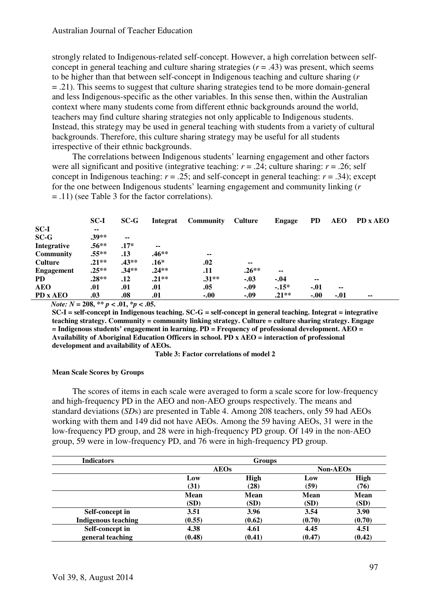strongly related to Indigenous-related self-concept. However, a high correlation between selfconcept in general teaching and culture sharing strategies  $(r = .43)$  was present, which seems to be higher than that between self-concept in Indigenous teaching and culture sharing (*r*  = .21). This seems to suggest that culture sharing strategies tend to be more domain-general and less Indigenous-specific as the other variables. In this sense then, within the Australian context where many students come from different ethnic backgrounds around the world, teachers may find culture sharing strategies not only applicable to Indigenous students. Instead, this strategy may be used in general teaching with students from a variety of cultural backgrounds. Therefore, this culture sharing strategy may be useful for all students irrespective of their ethnic backgrounds.

The correlations between Indigenous students' learning engagement and other factors were all significant and positive (integrative teaching:  $r = .24$ ; culture sharing:  $r = .26$ ; self concept in Indigenous teaching:  $r = .25$ ; and self-concept in general teaching:  $r = .34$ ); except for the one between Indigenous students' learning engagement and community linking (*r*  = .11) (see Table 3 for the factor correlations).

|                  | $SC-I$  | $SC-G$        | Integrat | <b>Community</b> | Culture                  | <b>Engage</b> | <b>PD</b>     | <b>AEO</b>               | PD x AEO |  |
|------------------|---------|---------------|----------|------------------|--------------------------|---------------|---------------|--------------------------|----------|--|
| $SC-I$           | $\sim$  |               |          |                  |                          |               |               |                          |          |  |
| $SC-G$           | $.39**$ | $\sim$ $\sim$ |          |                  |                          |               |               |                          |          |  |
| Integrative      | $.56**$ | $.17*$        | $\sim$   |                  |                          |               |               |                          |          |  |
| <b>Community</b> | $.55**$ | .13           | .46**    | --               |                          |               |               |                          |          |  |
| <b>Culture</b>   | $.21**$ | $.43**$       | $.16*$   | .02              | $\overline{\phantom{a}}$ |               |               |                          |          |  |
| Engagement       | $.25**$ | $.34**$       | $.24**$  | .11              | $.26**$                  | --            |               |                          |          |  |
| <b>PD</b>        | $.28**$ | .12           | $.21**$  | $.31**$          | $-.03$                   | $-.04$        | $\sim$ $\sim$ |                          |          |  |
| <b>AEO</b>       | .01     | .01           | .01      | .05              | $-.09$                   | $-15*$        | $-.01$        | $\overline{\phantom{a}}$ |          |  |
| PD x AEO         | .03     | .08           | .01      | $-.00$           | $-.09$                   | $.21**$       | $-.00$        | $-.01$                   | $- -$    |  |

*Note:*  $N = 208$ ,  $** p < .01$ ,  $* p < .05$ .

**SC-I = self-concept in Indigenous teaching. SC-G = self-concept in general teaching. Integrat = integrative teaching strategy. Community = community linking strategy. Culture = culture sharing strategy. Engage = Indigenous students' engagement in learning. PD = Frequency of professional development. AEO = Availability of Aboriginal Education Officers in school. PD x AEO = interaction of professional development and availability of AEOs.** 

**Table 3: Factor correlations of model 2**

#### **Mean Scale Scores by Groups**

The scores of items in each scale were averaged to form a scale score for low-frequency and high-frequency PD in the AEO and non-AEO groups respectively. The means and standard deviations (*SD*s) are presented in Table 4. Among 208 teachers, only 59 had AEOs working with them and 149 did not have AEOs. Among the 59 having AEOs, 31 were in the low-frequency PD group, and 28 were in high-frequency PD group. Of 149 in the non-AEO group, 59 were in low-frequency PD, and 76 were in high-frequency PD group.

| <b>Indicators</b>          |             | <b>Groups</b>   |        |             |
|----------------------------|-------------|-----------------|--------|-------------|
|                            | <b>AEOs</b> | <b>Non-AEOs</b> |        |             |
|                            | Low         | <b>High</b>     | Low    | <b>High</b> |
|                            | (31)        | (28)            | (59)   | (76)        |
|                            | Mean        | <b>Mean</b>     | Mean   | Mean        |
|                            | (SD)        | (SD)            | (SD)   | (SD)        |
| Self-concept in            | 3.51        | 3.96            | 3.54   | 3.90        |
| <b>Indigenous teaching</b> | (0.55)      | (0.62)          | (0.70) | (0.70)      |
| Self-concept in            | 4.38        | 4.61            | 4.45   | 4.51        |
| general teaching           | (0.48)      | (0.41)          | (0.47) | (0.42)      |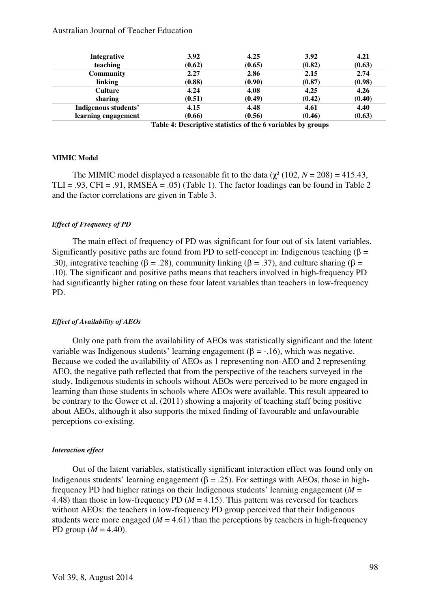# Australian Journal of Teacher Education

| <b>Integrative</b>   | 3.92   | 4.25   | 3.92   | 4.21   |
|----------------------|--------|--------|--------|--------|
| teaching             | (0.62) | (0.65) | (0.82) | (0.63) |
| <b>Community</b>     | 2.27   | 2.86   | 2.15   | 2.74   |
| linking              | (0.88) | (0.90) | (0.87) | (0.98) |
| <b>Culture</b>       | 4.24   | 4.08   | 4.25   | 4.26   |
| sharing              | (0.51) | (0.49) | (0.42) | (0.40) |
| Indigenous students' | 4.15   | 4.48   | 4.61   | 4.40   |
| learning engagement  | (0.66) | (0.56) | (0.46) | (0.63) |

 **Table 4: Descriptive statistics of the 6 variables by groups** 

#### **MIMIC Model**

The MIMIC model displayed a reasonable fit to the data  $(\chi^2(102, N = 208) = 415.43)$ , TLI = .93, CFI = .91, RMSEA = .05) (Table 1). The factor loadings can be found in Table 2 and the factor correlations are given in Table 3.

#### *Effect of Frequency of PD*

The main effect of frequency of PD was significant for four out of six latent variables. Significantly positive paths are found from PD to self-concept in: Indigenous teaching ( $\beta$  = .30), integrative teaching ( $\beta = .28$ ), community linking ( $\beta = .37$ ), and culture sharing ( $\beta =$ .10). The significant and positive paths means that teachers involved in high-frequency PD had significantly higher rating on these four latent variables than teachers in low-frequency PD.

#### *Effect of Availability of AEOs*

Only one path from the availability of AEOs was statistically significant and the latent variable was Indigenous students' learning engagement (β = -.16), which was negative. Because we coded the availability of AEOs as 1 representing non-AEO and 2 representing AEO, the negative path reflected that from the perspective of the teachers surveyed in the study, Indigenous students in schools without AEOs were perceived to be more engaged in learning than those students in schools where AEOs were available. This result appeared to be contrary to the Gower et al. (2011) showing a majority of teaching staff being positive about AEOs, although it also supports the mixed finding of favourable and unfavourable perceptions co-existing.

# *Interaction effect*

Out of the latent variables, statistically significant interaction effect was found only on Indigenous students' learning engagement ( $\beta = .25$ ). For settings with AEOs, those in highfrequency PD had higher ratings on their Indigenous students' learning engagement (*M* = 4.48) than those in low-frequency PD ( $M = 4.15$ ). This pattern was reversed for teachers without AEOs: the teachers in low-frequency PD group perceived that their Indigenous students were more engaged ( $M = 4.61$ ) than the perceptions by teachers in high-frequency PD group  $(M = 4.40)$ .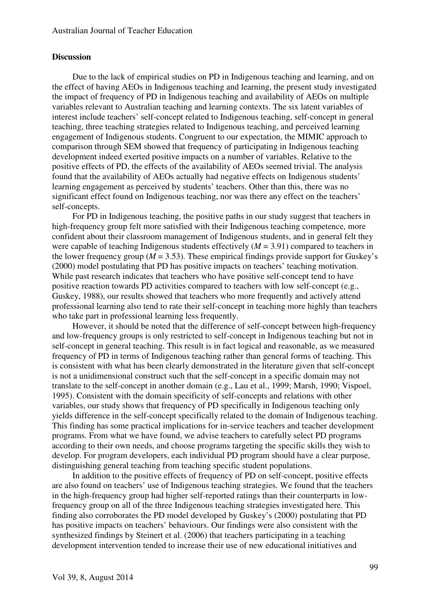# **Discussion**

Due to the lack of empirical studies on PD in Indigenous teaching and learning, and on the effect of having AEOs in Indigenous teaching and learning, the present study investigated the impact of frequency of PD in Indigenous teaching and availability of AEOs on multiple variables relevant to Australian teaching and learning contexts. The six latent variables of interest include teachers' self-concept related to Indigenous teaching, self-concept in general teaching, three teaching strategies related to Indigenous teaching, and perceived learning engagement of Indigenous students. Congruent to our expectation, the MIMIC approach to comparison through SEM showed that frequency of participating in Indigenous teaching development indeed exerted positive impacts on a number of variables. Relative to the positive effects of PD, the effects of the availability of AEOs seemed trivial. The analysis found that the availability of AEOs actually had negative effects on Indigenous students' learning engagement as perceived by students' teachers. Other than this, there was no significant effect found on Indigenous teaching, nor was there any effect on the teachers' self-concepts.

For PD in Indigenous teaching, the positive paths in our study suggest that teachers in high-frequency group felt more satisfied with their Indigenous teaching competence, more confident about their classroom management of Indigenous students, and in general felt they were capable of teaching Indigenous students effectively  $(M = 3.91)$  compared to teachers in the lower frequency group ( $M = 3.53$ ). These empirical findings provide support for Guskey's (2000) model postulating that PD has positive impacts on teachers' teaching motivation. While past research indicates that teachers who have positive self-concept tend to have positive reaction towards PD activities compared to teachers with low self-concept (e.g., Guskey, 1988), our results showed that teachers who more frequently and actively attend professional learning also tend to rate their self-concept in teaching more highly than teachers who take part in professional learning less frequently.

However, it should be noted that the difference of self-concept between high-frequency and low-frequency groups is only restricted to self-concept in Indigenous teaching but not in self-concept in general teaching. This result is in fact logical and reasonable, as we measured frequency of PD in terms of Indigenous teaching rather than general forms of teaching. This is consistent with what has been clearly demonstrated in the literature given that self-concept is not a unidimensional construct such that the self-concept in a specific domain may not translate to the self-concept in another domain (e.g., Lau et al., 1999; Marsh, 1990; Vispoel, 1995). Consistent with the domain specificity of self-concepts and relations with other variables, our study shows that frequency of PD specifically in Indigenous teaching only yields difference in the self-concept specifically related to the domain of Indigenous teaching. This finding has some practical implications for in-service teachers and teacher development programs. From what we have found, we advise teachers to carefully select PD programs according to their own needs, and choose programs targeting the specific skills they wish to develop. For program developers, each individual PD program should have a clear purpose, distinguishing general teaching from teaching specific student populations.

In addition to the positive effects of frequency of PD on self-concept, positive effects are also found on teachers' use of Indigenous teaching strategies. We found that the teachers in the high-frequency group had higher self-reported ratings than their counterparts in lowfrequency group on all of the three Indigenous teaching strategies investigated here. This finding also corroborates the PD model developed by Guskey's (2000) postulating that PD has positive impacts on teachers' behaviours. Our findings were also consistent with the synthesized findings by Steinert et al. (2006) that teachers participating in a teaching development intervention tended to increase their use of new educational initiatives and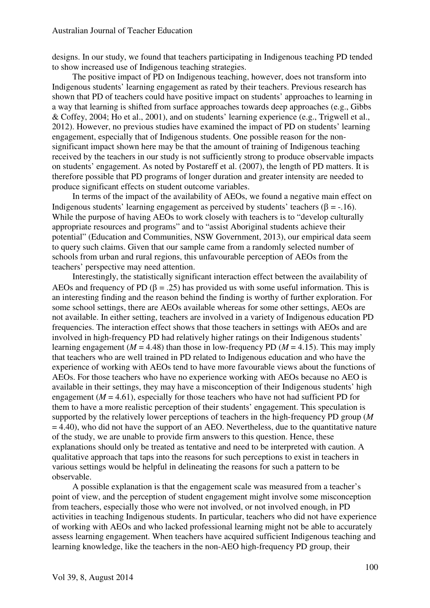designs. In our study, we found that teachers participating in Indigenous teaching PD tended to show increased use of Indigenous teaching strategies.

The positive impact of PD on Indigenous teaching, however, does not transform into Indigenous students' learning engagement as rated by their teachers. Previous research has shown that PD of teachers could have positive impact on students' approaches to learning in a way that learning is shifted from surface approaches towards deep approaches (e.g., Gibbs & Coffey, 2004; Ho et al., 2001), and on students' learning experience (e.g., Trigwell et al., 2012). However, no previous studies have examined the impact of PD on students' learning engagement, especially that of Indigenous students. One possible reason for the nonsignificant impact shown here may be that the amount of training of Indigenous teaching received by the teachers in our study is not sufficiently strong to produce observable impacts on students' engagement. As noted by Postareff et al. (2007), the length of PD matters. It is therefore possible that PD programs of longer duration and greater intensity are needed to produce significant effects on student outcome variables.

In terms of the impact of the availability of AEOs, we found a negative main effect on Indigenous students' learning engagement as perceived by students' teachers (β = -.16). While the purpose of having AEOs to work closely with teachers is to "develop culturally" appropriate resources and programs" and to "assist Aboriginal students achieve their potential" (Education and Communities, NSW Government, 2013), our empirical data seem to query such claims. Given that our sample came from a randomly selected number of schools from urban and rural regions, this unfavourable perception of AEOs from the teachers' perspective may need attention.

Interestingly, the statistically significant interaction effect between the availability of AEOs and frequency of PD ( $\beta = .25$ ) has provided us with some useful information. This is an interesting finding and the reason behind the finding is worthy of further exploration. For some school settings, there are AEOs available whereas for some other settings, AEOs are not available. In either setting, teachers are involved in a variety of Indigenous education PD frequencies. The interaction effect shows that those teachers in settings with AEOs and are involved in high-frequency PD had relatively higher ratings on their Indigenous students' learning engagement ( $M = 4.48$ ) than those in low-frequency PD ( $M = 4.15$ ). This may imply that teachers who are well trained in PD related to Indigenous education and who have the experience of working with AEOs tend to have more favourable views about the functions of AEOs. For those teachers who have no experience working with AEOs because no AEO is available in their settings, they may have a misconception of their Indigenous students' high engagement ( $M = 4.61$ ), especially for those teachers who have not had sufficient PD for them to have a more realistic perception of their students' engagement. This speculation is supported by the relatively lower perceptions of teachers in the high-frequency PD group (*M*   $= 4.40$ ), who did not have the support of an AEO. Nevertheless, due to the quantitative nature of the study, we are unable to provide firm answers to this question. Hence, these explanations should only be treated as tentative and need to be interpreted with caution. A qualitative approach that taps into the reasons for such perceptions to exist in teachers in various settings would be helpful in delineating the reasons for such a pattern to be observable.

A possible explanation is that the engagement scale was measured from a teacher's point of view, and the perception of student engagement might involve some misconception from teachers, especially those who were not involved, or not involved enough, in PD activities in teaching Indigenous students. In particular, teachers who did not have experience of working with AEOs and who lacked professional learning might not be able to accurately assess learning engagement. When teachers have acquired sufficient Indigenous teaching and learning knowledge, like the teachers in the non-AEO high-frequency PD group, their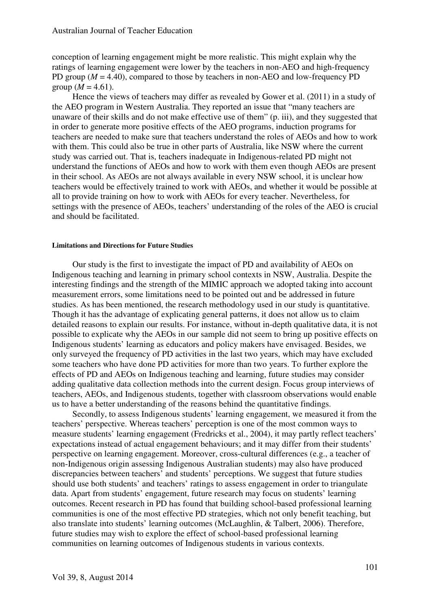conception of learning engagement might be more realistic. This might explain why the ratings of learning engagement were lower by the teachers in non-AEO and high-frequency PD group (*M* = 4.40), compared to those by teachers in non-AEO and low-frequency PD group  $(M = 4.61)$ .

Hence the views of teachers may differ as revealed by Gower et al. (2011) in a study of the AEO program in Western Australia. They reported an issue that "many teachers are unaware of their skills and do not make effective use of them" (p. iii), and they suggested that in order to generate more positive effects of the AEO programs, induction programs for teachers are needed to make sure that teachers understand the roles of AEOs and how to work with them. This could also be true in other parts of Australia, like NSW where the current study was carried out. That is, teachers inadequate in Indigenous-related PD might not understand the functions of AEOs and how to work with them even though AEOs are present in their school. As AEOs are not always available in every NSW school, it is unclear how teachers would be effectively trained to work with AEOs, and whether it would be possible at all to provide training on how to work with AEOs for every teacher. Nevertheless, for settings with the presence of AEOs, teachers' understanding of the roles of the AEO is crucial and should be facilitated.

#### **Limitations and Directions for Future Studies**

Our study is the first to investigate the impact of PD and availability of AEOs on Indigenous teaching and learning in primary school contexts in NSW, Australia. Despite the interesting findings and the strength of the MIMIC approach we adopted taking into account measurement errors, some limitations need to be pointed out and be addressed in future studies. As has been mentioned, the research methodology used in our study is quantitative. Though it has the advantage of explicating general patterns, it does not allow us to claim detailed reasons to explain our results. For instance, without in-depth qualitative data, it is not possible to explicate why the AEOs in our sample did not seem to bring up positive effects on Indigenous students' learning as educators and policy makers have envisaged. Besides, we only surveyed the frequency of PD activities in the last two years, which may have excluded some teachers who have done PD activities for more than two years. To further explore the effects of PD and AEOs on Indigenous teaching and learning, future studies may consider adding qualitative data collection methods into the current design. Focus group interviews of teachers, AEOs, and Indigenous students, together with classroom observations would enable us to have a better understanding of the reasons behind the quantitative findings.

Secondly, to assess Indigenous students' learning engagement, we measured it from the teachers' perspective. Whereas teachers' perception is one of the most common ways to measure students' learning engagement (Fredricks et al., 2004), it may partly reflect teachers' expectations instead of actual engagement behaviours; and it may differ from their students' perspective on learning engagement. Moreover, cross-cultural differences (e.g., a teacher of non-Indigenous origin assessing Indigenous Australian students) may also have produced discrepancies between teachers' and students' perceptions. We suggest that future studies should use both students' and teachers' ratings to assess engagement in order to triangulate data. Apart from students' engagement, future research may focus on students' learning outcomes. Recent research in PD has found that building school-based professional learning communities is one of the most effective PD strategies, which not only benefit teaching, but also translate into students' learning outcomes (McLaughlin, & Talbert, 2006). Therefore, future studies may wish to explore the effect of school-based professional learning communities on learning outcomes of Indigenous students in various contexts.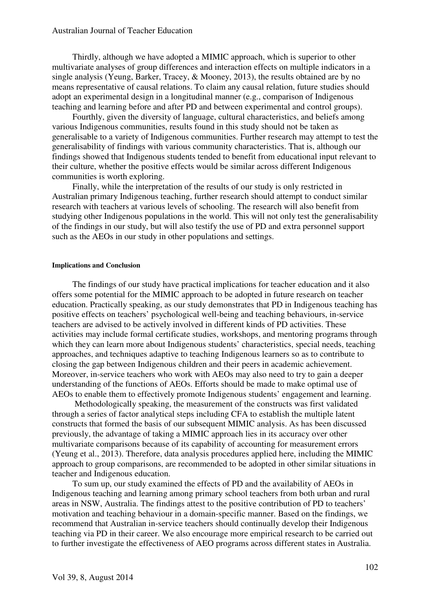Thirdly, although we have adopted a MIMIC approach, which is superior to other multivariate analyses of group differences and interaction effects on multiple indicators in a single analysis (Yeung, Barker, Tracey, & Mooney, 2013), the results obtained are by no means representative of causal relations. To claim any causal relation, future studies should adopt an experimental design in a longitudinal manner (e.g., comparison of Indigenous teaching and learning before and after PD and between experimental and control groups).

Fourthly, given the diversity of language, cultural characteristics, and beliefs among various Indigenous communities, results found in this study should not be taken as generalisable to a variety of Indigenous communities. Further research may attempt to test the generalisability of findings with various community characteristics. That is, although our findings showed that Indigenous students tended to benefit from educational input relevant to their culture, whether the positive effects would be similar across different Indigenous communities is worth exploring.

Finally, while the interpretation of the results of our study is only restricted in Australian primary Indigenous teaching, further research should attempt to conduct similar research with teachers at various levels of schooling. The research will also benefit from studying other Indigenous populations in the world. This will not only test the generalisability of the findings in our study, but will also testify the use of PD and extra personnel support such as the AEOs in our study in other populations and settings.

## **Implications and Conclusion**

The findings of our study have practical implications for teacher education and it also offers some potential for the MIMIC approach to be adopted in future research on teacher education. Practically speaking, as our study demonstrates that PD in Indigenous teaching has positive effects on teachers' psychological well-being and teaching behaviours, in-service teachers are advised to be actively involved in different kinds of PD activities. These activities may include formal certificate studies, workshops, and mentoring programs through which they can learn more about Indigenous students' characteristics, special needs, teaching approaches, and techniques adaptive to teaching Indigenous learners so as to contribute to closing the gap between Indigenous children and their peers in academic achievement. Moreover, in-service teachers who work with AEOs may also need to try to gain a deeper understanding of the functions of AEOs. Efforts should be made to make optimal use of AEOs to enable them to effectively promote Indigenous students' engagement and learning.

 Methodologically speaking, the measurement of the constructs was first validated through a series of factor analytical steps including CFA to establish the multiple latent constructs that formed the basis of our subsequent MIMIC analysis. As has been discussed previously, the advantage of taking a MIMIC approach lies in its accuracy over other multivariate comparisons because of its capability of accounting for measurement errors (Yeung et al., 2013). Therefore, data analysis procedures applied here, including the MIMIC approach to group comparisons, are recommended to be adopted in other similar situations in teacher and Indigenous education.

To sum up, our study examined the effects of PD and the availability of AEOs in Indigenous teaching and learning among primary school teachers from both urban and rural areas in NSW, Australia. The findings attest to the positive contribution of PD to teachers' motivation and teaching behaviour in a domain-specific manner. Based on the findings, we recommend that Australian in-service teachers should continually develop their Indigenous teaching via PD in their career. We also encourage more empirical research to be carried out to further investigate the effectiveness of AEO programs across different states in Australia.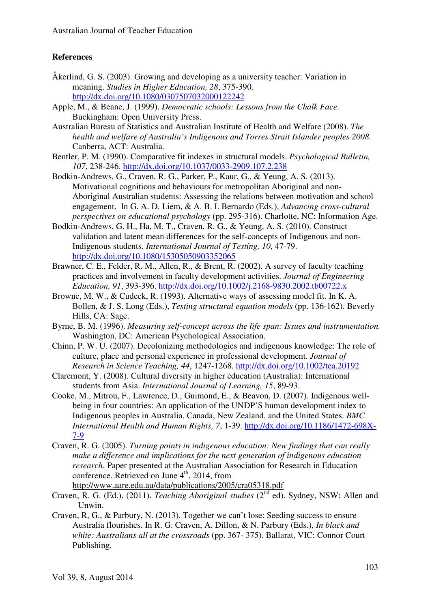# **References**

- Åkerlind, G. S. (2003). Growing and developing as a university teacher: Variation in meaning. *Studies in Higher Education, 28*, 375-390. http://dx.doi.org/10.1080/0307507032000122242
- Apple, M., & Beane, J. (1999). *Democratic schools: Lessons from the Chalk Face*. Buckingham: Open University Press.
- Australian Bureau of Statistics and Australian Institute of Health and Welfare (2008). *The health and welfare of Australia's Indigenous and Torres Strait Islander peoples 2008.* Canberra, ACT: Australia.
- Bentler, P. M. (1990). Comparative fit indexes in structural models. *Psychological Bulletin, 107*, 238-246. http://dx.doi.org/10.1037/0033-2909.107.2.238
- Bodkin-Andrews, G., Craven, R. G., Parker, P., Kaur, G., & Yeung, A. S. (2013). Motivational cognitions and behaviours for metropolitan Aboriginal and non-Aboriginal Australian students: Assessing the relations between motivation and school engagement. In G. A. D. Liem, & A. B. I. Bernardo (Eds.), *Advancing cross-cultural perspectives on educational psychology* (pp. 295-316). Charlotte, NC: Information Age.
- Bodkin-Andrews, G. H., Ha, M. T., Craven, R. G., & Yeung, A. S. (2010). Construct validation and latent mean differences for the self-concepts of Indigenous and non-Indigenous students. *International Journal of Testing, 10*, 47-79. http://dx.doi.org/10.1080/15305050903352065
- Brawner, C. E., Felder, R. M., Allen, R., & Brent, R. (2002). A survey of faculty teaching practices and involvement in faculty development activities. *Journal of Engineering Education, 91*, 393-396. http://dx.doi.org/10.1002/j.2168-9830.2002.tb00722.x
- Browne, M. W., & Cudeck, R. (1993). Alternative ways of assessing model fit. In K. A. Bollen, & J. S. Long (Eds.), *Testing structural equation models* (pp. 136-162). Beverly Hills, CA: Sage.
- Byrne, B. M. (1996). *Measuring self-concept across the life span: Issues and instrumentation.* Washington, DC: American Psychological Association.
- Chinn, P. W. U. (2007). Decolonizing methodologies and indigenous knowledge: The role of culture, place and personal experience in professional development. *Journal of Research in Science Teaching, 44*, 1247-1268. http://dx.doi.org/10.1002/tea.20192
- Claremont, Y. (2008). Cultural diversity in higher education (Australia): International students from Asia. *International Journal of Learning, 15*, 89-93.
- Cooke, M., Mitrou, F., Lawrence, D., Guimond, E., & Beavon, D. (2007). Indigenous wellbeing in four countries: An application of the UNDP'S human development index to Indigenous peoples in Australia, Canada, New Zealand, and the United States. *BMC International Health and Human Rights, 7*, 1-39. http://dx.doi.org/10.1186/1472-698X-7-9
- Craven, R. G. (2005). *Turning points in indigenous education: New findings that can really make a difference and implications for the next generation of indigenous education research*. Paper presented at the Australian Association for Research in Education conference. Retrieved on June  $4<sup>th</sup>$ , 2014, from http://www.aare.edu.au/data/publications/2005/cra05318.pdf
- Craven, R. G. (Ed.). (2011). *Teaching Aboriginal studies* (2<sup>nd</sup> ed). Sydney, NSW: Allen and Unwin.
- Craven, R, G., & Parbury, N. (2013). Together we can't lose: Seeding success to ensure Australia flourishes. In R. G. Craven, A. Dillon, & N. Parbury (Eds.), *In black and white: Australians all at the crossroads* (pp. 367- 375). Ballarat, VIC: Connor Court Publishing.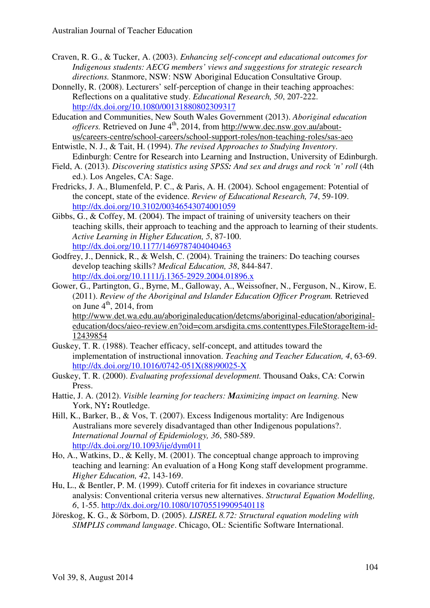- Craven, R. G., & Tucker, A. (2003). *Enhancing self-concept and educational outcomes for Indigenous students: AECG members' views and suggestions for strategic research directions.* Stanmore, NSW: NSW Aboriginal Education Consultative Group.
- Donnelly, R. (2008). Lecturers' self-perception of change in their teaching approaches: Reflections on a qualitative study. *Educational Research, 50*, 207-222. http://dx.doi.org/10.1080/00131880802309317
- Education and Communities, New South Wales Government (2013). *Aboriginal education officers.* Retrieved on June 4<sup>th</sup>, 2014, from http://www.dec.nsw.gov.au/aboutus/careers-centre/school-careers/school-support-roles/non-teaching-roles/sas-aeo
- Entwistle, N. J., & Tait, H. (1994). *The revised Approaches to Studying Inventory*. Edinburgh: Centre for Research into Learning and Instruction, University of Edinburgh.
- Field, A. (2013). *Discovering statistics using SPSS: And sex and drugs and rock 'n' roll* (4th ed.). Los Angeles, CA: Sage.
- Fredricks, J. A., Blumenfeld, P. C., & Paris, A. H. (2004). School engagement: Potential of the concept, state of the evidence. *Review of Educational Research, 74*, 59-109. http://dx.doi.org/10.3102/00346543074001059
- Gibbs, G., & Coffey, M. (2004). The impact of training of university teachers on their teaching skills, their approach to teaching and the approach to learning of their students. *Active Learning in Higher Education, 5*, 87-100. http://dx.doi.org/10.1177/1469787404040463
- Godfrey, J., Dennick, R., & Welsh, C. (2004). Training the trainers: Do teaching courses develop teaching skills? *Medical Education, 38*, 844-847. http://dx.doi.org/10.1111/j.1365-2929.2004.01896.x
- Gower, G., Partington, G., Byrne, M., Galloway, A., Weissofner, N., Ferguson, N., Kirow, E. (2011). *Review of the Aboriginal and Islander Education Officer Program.* Retrieved on June  $4^{\text{th}}$ , 2014, from

http://www.det.wa.edu.au/aboriginaleducation/detcms/aboriginal-education/aboriginaleducation/docs/aieo-review.en?oid=com.arsdigita.cms.contenttypes.FileStorageItem-id-12439854

- Guskey, T. R. (1988). Teacher efficacy, self-concept, and attitudes toward the implementation of instructional innovation. *Teaching and Teacher Education, 4*, 63-69. http://dx.doi.org/10.1016/0742-051X(88)90025-X
- Guskey, T. R. (2000). *Evaluating professional development.* Thousand Oaks, CA: Corwin Press.
- Hattie, J. A. (2012). *Visible learning for teachers: Maximizing impact on learning.* New York, NY**:** Routledge.
- Hill, K., Barker, B., & Vos, T. (2007). Excess Indigenous mortality: Are Indigenous Australians more severely disadvantaged than other Indigenous populations?. *International Journal of Epidemiology, 36*, 580-589. http://dx.doi.org/10.1093/ije/dym011
- Ho, A., Watkins, D., & Kelly, M. (2001). The conceptual change approach to improving teaching and learning: An evaluation of a Hong Kong staff development programme. *Higher Education, 42*, 143-169.
- Hu, L., & Bentler, P. M. (1999). Cutoff criteria for fit indexes in covariance structure analysis: Conventional criteria versus new alternatives. *Structural Equation Modelling, 6*, 1-55. http://dx.doi.org/10.1080/10705519909540118
- Jöreskog, K. G., & Sörbom, D. (2005). *LISREL 8.72: Structural equation modeling with SIMPLIS command language*. Chicago, OL: Scientific Software International.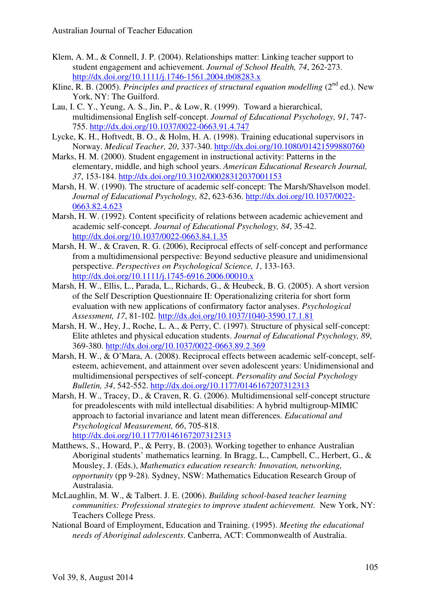- Klem, A. M., & Connell, J. P. (2004). Relationships matter: Linking teacher support to student engagement and achievement. *Journal of School Health, 74*, 262-273. http://dx.doi.org/10.1111/j.1746-1561.2004.tb08283.x
- Kline, R. B. (2005). *Principles and practices of structural equation modelling* (2<sup>nd</sup> ed.). New York, NY: The Guilford.
- Lau, I. C. Y., Yeung, A. S., Jin, P., & Low, R. (1999). Toward a hierarchical, multidimensional English self-concept. *Journal of Educational Psychology, 91*, 747- 755. http://dx.doi.org/10.1037/0022-0663.91.4.747
- Lycke, K. H., Hoftvedt, B. O., & Holm, H. A. (1998). Training educational supervisors in Norway. *Medical Teacher, 20*, 337-340. http://dx.doi.org/10.1080/01421599880760
- Marks, H. M. (2000). Student engagement in instructional activity: Patterns in the elementary, middle, and high school years. *American Educational Research Journal, 37*, 153-184. http://dx.doi.org/10.3102/00028312037001153
- Marsh, H. W. (1990). The structure of academic self-concept: The Marsh/Shavelson model. *Journal of Educational Psychology, 82*, 623-636. http://dx.doi.org/10.1037/0022- 0663.82.4.623
- Marsh, H. W. (1992). Content specificity of relations between academic achievement and academic self-concept. *Journal of Educational Psychology, 84*, 35-42. http://dx.doi.org/10.1037/0022-0663.84.1.35
- Marsh, H. W., & Craven, R. G. (2006), Reciprocal effects of self-concept and performance from a multidimensional perspective: Beyond seductive pleasure and unidimensional perspective. *Perspectives on Psychological Science, 1*, 133-163. http://dx.doi.org/10.1111/j.1745-6916.2006.00010.x
- Marsh, H. W., Ellis, L., Parada, L., Richards, G., & Heubeck, B. G. (2005). A short version of the Self Description Questionnaire II: Operationalizing criteria for short form evaluation with new applications of confirmatory factor analyses. *Psychological Assessment, 17*, 81-102. http://dx.doi.org/10.1037/1040-3590.17.1.81
- Marsh, H. W., Hey, J., Roche, L. A., & Perry, C. (1997). Structure of physical self-concept: Elite athletes and physical education students. *Journal of Educational Psychology, 89*, 369-380. http://dx.doi.org/10.1037/0022-0663.89.2.369
- Marsh, H. W., & O'Mara, A. (2008). Reciprocal effects between academic self-concept, selfesteem, achievement, and attainment over seven adolescent years: Unidimensional and multidimensional perspectives of self-concept. *Personality and Social Psychology Bulletin, 34*, 542-552. http://dx.doi.org/10.1177/0146167207312313
- Marsh, H. W., Tracey, D., & Craven, R. G. (2006). Multidimensional self-concept structure for preadolescents with mild intellectual disabilities: A hybrid multigroup-MIMIC approach to factorial invariance and latent mean differences. *Educational and Psychological Measurement, 66*, 705-818. http://dx.doi.org/10.1177/0146167207312313
- Matthews, S., Howard, P., & Perry, B. (2003). Working together to enhance Australian Aboriginal students' mathematics learning. In Bragg, L., Campbell, C., Herbert, G., & Mousley, J. (Eds.), *Mathematics education research: Innovation, networking, opportunity* (pp 9-28). Sydney, NSW: Mathematics Education Research Group of Australasia.
- McLaughlin, M. W., & Talbert. J. E. (2006). *Building school-based teacher learning communities: Professional strategies to improve student achievement.* New York, NY: Teachers College Press.
- National Board of Employment, Education and Training. (1995). *Meeting the educational needs of Aboriginal adolescents*. Canberra, ACT: Commonwealth of Australia.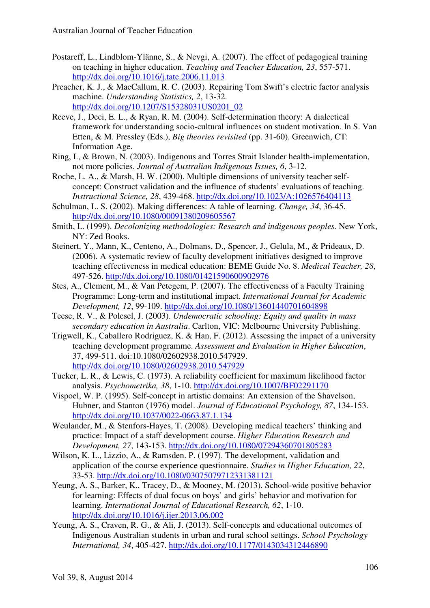- Postareff, L., Lindblom-Ylänne, S., & Nevgi, A. (2007). The effect of pedagogical training on teaching in higher education. *Teaching and Teacher Education, 23*, 557-571. http://dx.doi.org/10.1016/j.tate.2006.11.013
- Preacher, K. J., & MacCallum, R. C. (2003). Repairing Tom Swift's electric factor analysis machine. *Understanding Statistics, 2*, 13-32. http://dx.doi.org/10.1207/S15328031US0201\_02
- Reeve, J., Deci, E. L., & Ryan, R. M. (2004). Self-determination theory: A dialectical framework for understanding socio-cultural influences on student motivation. In S. Van Etten, & M. Pressley (Eds.), *Big theories revisited* (pp. 31-60). Greenwich, CT: Information Age.
- Ring, I., & Brown, N. (2003). Indigenous and Torres Strait Islander health-implementation, not more policies. *Journal of Australian Indigenous Issues, 6*, 3-12.
- Roche, L. A., & Marsh, H. W. (2000). Multiple dimensions of university teacher selfconcept: Construct validation and the influence of students' evaluations of teaching. *Instructional Science, 28*, 439-468. http://dx.doi.org/10.1023/A:1026576404113
- Schulman, L. S. (2002). Making differences: A table of learning. *Change, 34*, 36-45. http://dx.doi.org/10.1080/00091380209605567
- Smith, L. (1999). *Decolonizing methodologies: Research and indigenous peoples.* New York, NY: Zed Books.
- Steinert, Y., Mann, K., Centeno, A., Dolmans, D., Spencer, J., Gelula, M., & Prideaux, D. (2006). A systematic review of faculty development initiatives designed to improve teaching effectiveness in medical education: BEME Guide No. 8. *Medical Teacher, 28*, 497-526. http://dx.doi.org/10.1080/01421590600902976
- Stes, A., Clement, M., & Van Petegem, P. (2007). The effectiveness of a Faculty Training Programme: Long-term and institutional impact. *International Journal for Academic Development, 12*, 99-109. http://dx.doi.org/10.1080/13601440701604898
- Teese, R. V., & Polesel, J. (2003). *Undemocratic schooling: Equity and quality in mass secondary education in Australia*. Carlton, VIC: Melbourne University Publishing.
- Trigwell, K., Caballero Rodriguez, K. & Han, F. (2012). Assessing the impact of a university teaching development programme. *Assessment and Evaluation in Higher Education*, 37, 499-511. doi:10.1080/02602938.2010.547929. http://dx.doi.org/10.1080/02602938.2010.547929
- Tucker, L. R., & Lewis, C. (1973). A reliability coefficient for maximum likelihood factor analysis. *Psychometrika, 38*, 1-10. http://dx.doi.org/10.1007/BF02291170
- Vispoel, W. P. (1995). Self-concept in artistic domains: An extension of the Shavelson, Hubner, and Stanton (1976) model. *Journal of Educational Psychology, 87*, 134-153. http://dx.doi.org/10.1037/0022-0663.87.1.134
- Weulander, M., & Stenfors-Hayes, T. (2008). Developing medical teachers' thinking and practice: Impact of a staff development course. *Higher Education Research and Development, 27*, 143-153. http://dx.doi.org/10.1080/07294360701805283
- Wilson, K. L., Lizzio, A., & Ramsden. P. (1997). The development, validation and application of the course experience questionnaire. *Studies in Higher Education, 22*, 33-53. http://dx.doi.org/10.1080/03075079712331381121
- Yeung, A. S., Barker, K., Tracey, D., & Mooney, M. (2013). School-wide positive behavior for learning: Effects of dual focus on boys' and girls' behavior and motivation for learning. *International Journal of Educational Research, 62*, 1-10. http://dx.doi.org/10.1016/j.ijer.2013.06.002
- Yeung, A. S., Craven, R. G., & Ali, J. (2013). Self-concepts and educational outcomes of Indigenous Australian students in urban and rural school settings. *School Psychology International, 34*, 405-427. http://dx.doi.org/10.1177/0143034312446890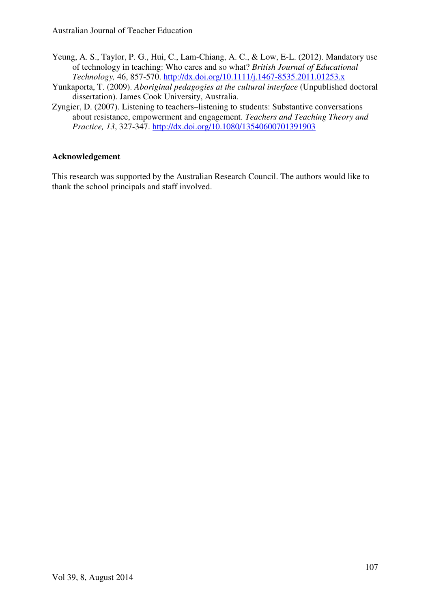- Yeung, A. S., Taylor, P. G., Hui, C., Lam-Chiang, A. C., & Low, E-L. (2012). Mandatory use of technology in teaching: Who cares and so what? *British Journal of Educational Technology,* 46, 857-570. http://dx.doi.org/10.1111/j.1467-8535.2011.01253.x
- Yunkaporta, T. (2009). *Aboriginal pedagogies at the cultural interface* (Unpublished doctoral dissertation). James Cook University, Australia.
- Zyngier, D. (2007). Listening to teachers–listening to students: Substantive conversations about resistance, empowerment and engagement. *Teachers and Teaching Theory and Practice, 13*, 327-347. http://dx.doi.org/10.1080/13540600701391903

# **Acknowledgement**

This research was supported by the Australian Research Council. The authors would like to thank the school principals and staff involved.